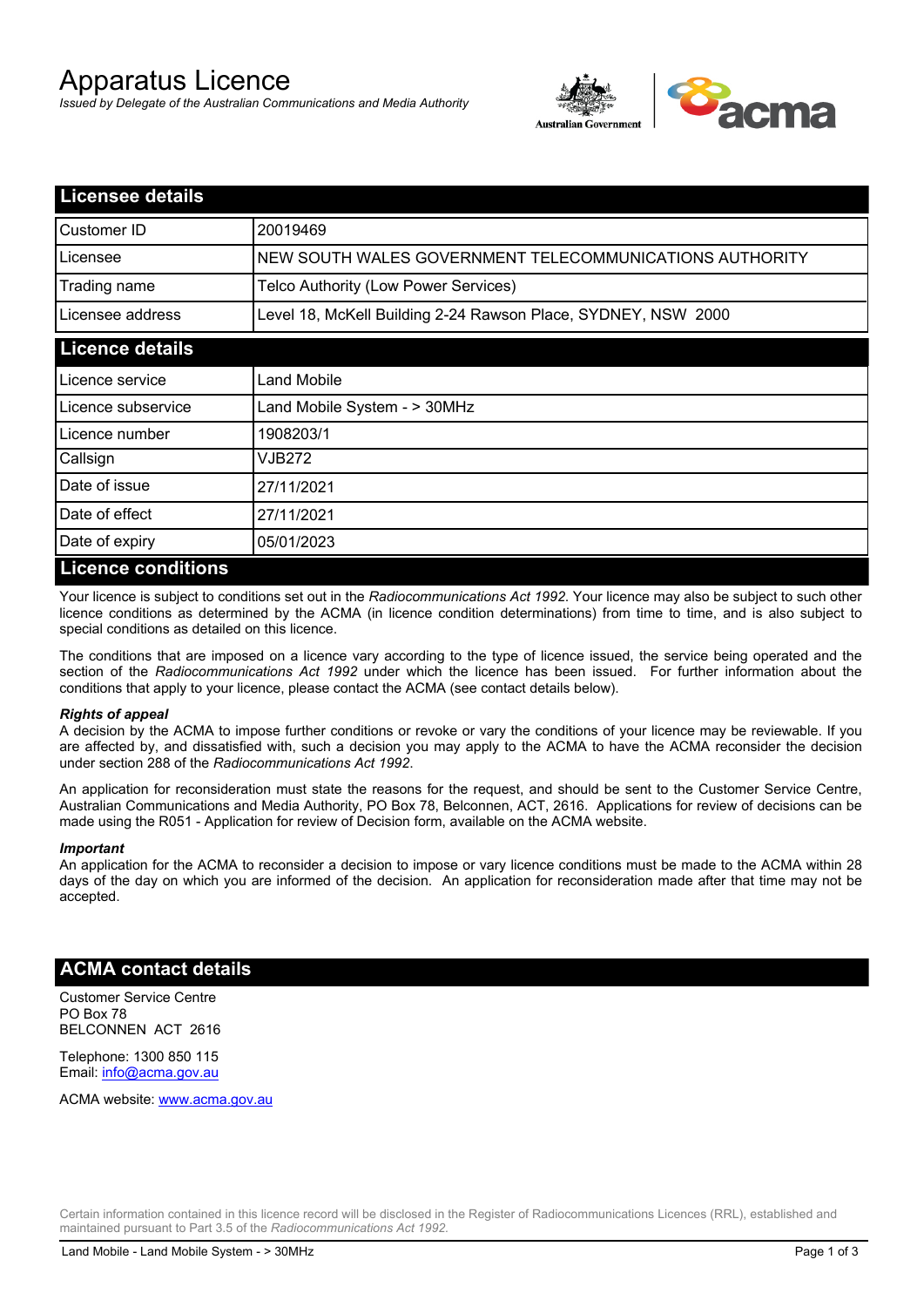# Apparatus Licence

*Issued by Delegate of the Australian Communications and Media Authority*



| <b>Licensee details</b> |                                                               |
|-------------------------|---------------------------------------------------------------|
| Customer ID             | 20019469                                                      |
| Licensee                | NEW SOUTH WALES GOVERNMENT TELECOMMUNICATIONS AUTHORITY       |
| Trading name            | Telco Authority (Low Power Services)                          |
| Licensee address        | Level 18, McKell Building 2-24 Rawson Place, SYDNEY, NSW 2000 |
| <b>Licence details</b>  |                                                               |
| l Licence service       | Land Mobile                                                   |
| Licence subservice      | Land Mobile System - > 30MHz                                  |
| Licence number          | 1908203/1                                                     |
| Callsign                | VJB272                                                        |
| Date of issue           | 27/11/2021                                                    |
| Date of effect          | 27/11/2021                                                    |
| Date of expiry          | 05/01/2023                                                    |
| Licence conditions      |                                                               |

## **Licence conditions**

Your licence is subject to conditions set out in the *Radiocommunications Act 1992*. Your licence may also be subject to such other licence conditions as determined by the ACMA (in licence condition determinations) from time to time, and is also subject to special conditions as detailed on this licence.

The conditions that are imposed on a licence vary according to the type of licence issued, the service being operated and the section of the *Radiocommunications Act 1992* under which the licence has been issued. For further information about the conditions that apply to your licence, please contact the ACMA (see contact details below).

#### *Rights of appeal*

A decision by the ACMA to impose further conditions or revoke or vary the conditions of your licence may be reviewable. If you are affected by, and dissatisfied with, such a decision you may apply to the ACMA to have the ACMA reconsider the decision under section 288 of the *Radiocommunications Act 1992*.

An application for reconsideration must state the reasons for the request, and should be sent to the Customer Service Centre, Australian Communications and Media Authority, PO Box 78, Belconnen, ACT, 2616. Applications for review of decisions can be made using the R051 - Application for review of Decision form, available on the ACMA website.

#### *Important*

An application for the ACMA to reconsider a decision to impose or vary licence conditions must be made to the ACMA within 28 days of the day on which you are informed of the decision. An application for reconsideration made after that time may not be accepted.

### **ACMA contact details**

Customer Service Centre PO Box 78 BELCONNEN ACT 2616

Telephone: 1300 850 115 Email: info@acma.gov.au

ACMA website: www.acma.gov.au

Certain information contained in this licence record will be disclosed in the Register of Radiocommunications Licences (RRL), established and maintained pursuant to Part 3.5 of the *Radiocommunications Act 1992.*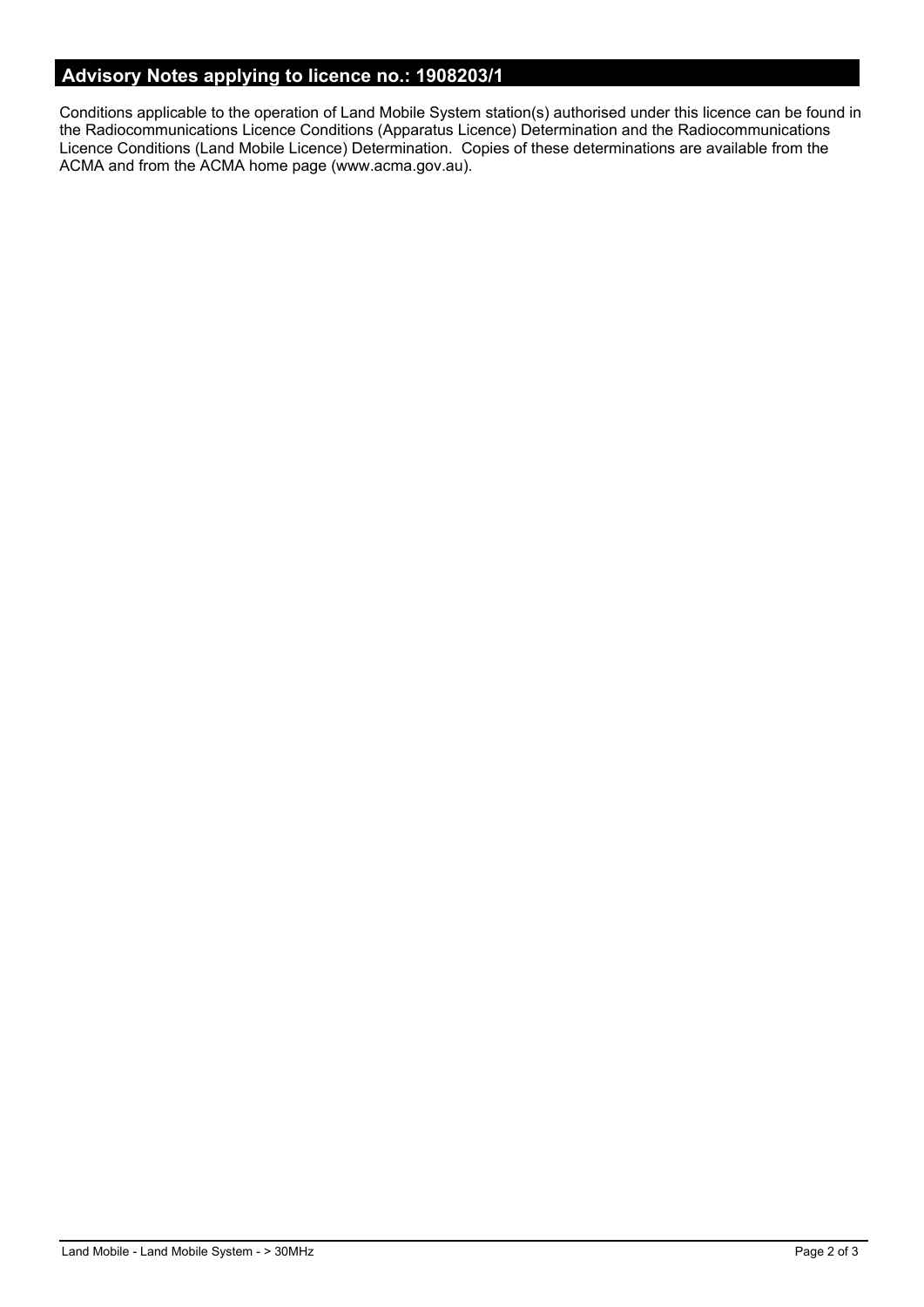# **Advisory Notes applying to licence no.: 1908203/1**

Conditions applicable to the operation of Land Mobile System station(s) authorised under this licence can be found in the Radiocommunications Licence Conditions (Apparatus Licence) Determination and the Radiocommunications Licence Conditions (Land Mobile Licence) Determination. Copies of these determinations are available from the ACMA and from the ACMA home page (www.acma.gov.au).